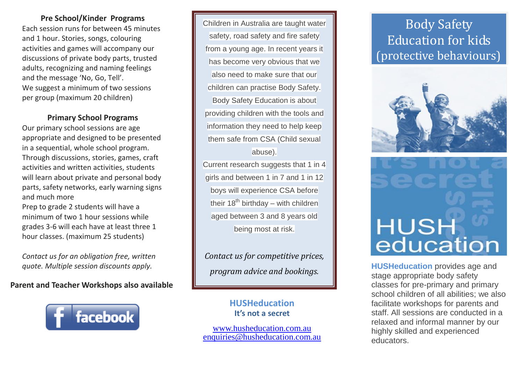### **Pre School/Kinder Programs**

Each session runs for between 45 minutes and 1 hour. Stories, songs, colouring activities and games will accompany our discussions of private body parts, trusted adults, recognizing and naming feelings and the message 'No, Go, Tell'. We suggest a minimum of two sessions per group (maximum 20 children)

### **Primary School Programs**

Our primary school sessions are age appropriate and designed to be presented in a sequential, whole school program. Through discussions, stories, games, craft activities and written activities, students will learn about private and personal body parts, safety networks, early warning signs and much more

Prep to grade 2 students will have a minimum of two 1 hour sessions while grades 3-6 will each have at least three 1 hour classes. (maximum 25 students)

*Contact us for an obligation free, written quote. Multiple session discounts apply.*

**Parent and Teacher Workshops also available**



Children in Australia are taught water safety, road safety and fire safety from a young age. In recent years it has become very obvious that we also need to make sure that our children can practise Body Safety. Body Safety Education is about providing children with the tools and information they need to help keep them safe from CSA (Child sexual abuse).

Current research suggests that 1 in 4 girls and between 1 in 7 and 1 in 12 boys will experience CSA before their  $18<sup>th</sup>$  birthday – with children aged between 3 and 8 years old being most at risk.

*Contact us for competitive prices, program advice and bookings.*

## **HUSHeducation It's not a secret**

[www.husheducation.com.au](http://www.husheducation.com.au/) [enquiries@husheducation.com.au](mailto:enquiries@husheducation.com.au)

# Body Safety Education for kids (protective behaviours)





**HUSHeducation** provides age and stage appropriate body safety classes for pre-primary and primary school children of all abilities; we also facilitate workshops for parents and staff. All sessions are conducted in a relaxed and informal manner by our highly skilled and experienced educators.